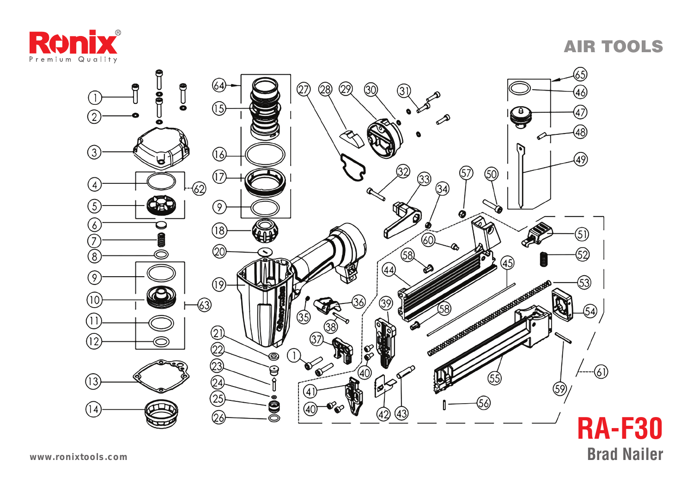

AIR TOOLS